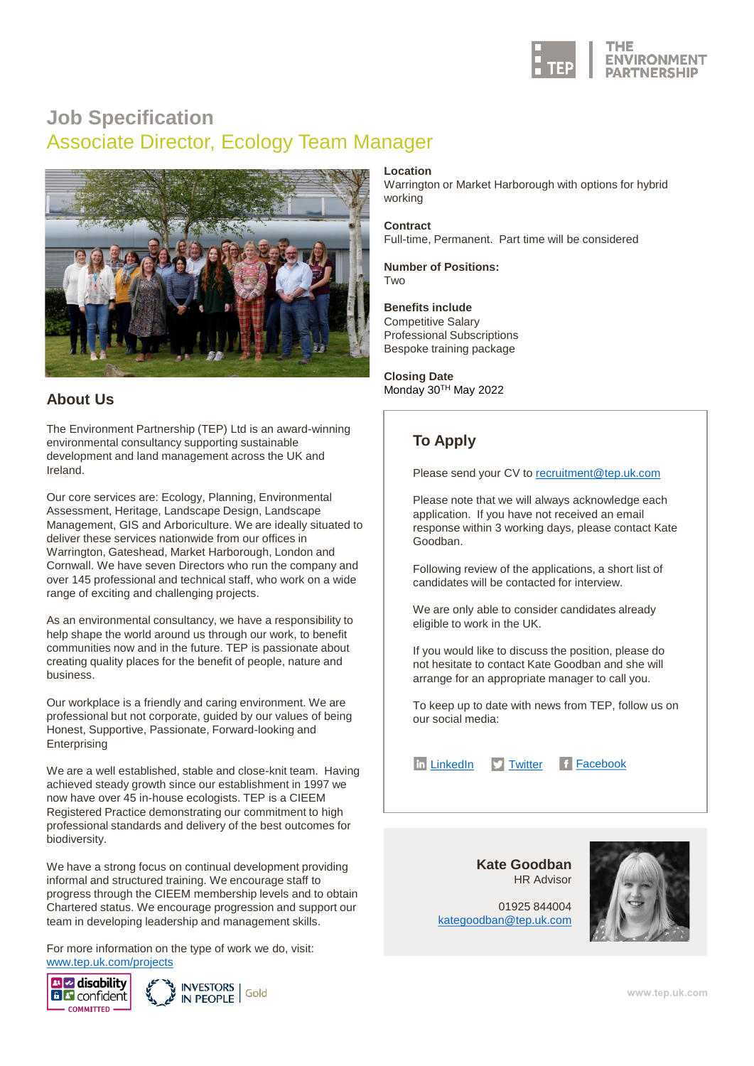

## **Job Specification** Associate Director, Ecology Team Manager



The Environment Partnership (TEP) Ltd is an award-winning environmental consultancy supporting sustainable development and land management across the UK and Ireland.

Our core services are: Ecology, Planning, Environmental Assessment, Heritage, Landscape Design, Landscape Management, GIS and Arboriculture. We are ideally situated to deliver these services nationwide from our offices in Warrington, Gateshead, Market Harborough, London and Cornwall. We have seven Directors who run the company and over 145 professional and technical staff, who work on a wide range of exciting and challenging projects.

As an environmental consultancy, we have a responsibility to help shape the world around us through our work, to benefit communities now and in the future. TEP is passionate about creating quality places for the benefit of people, nature and business.

Our workplace is a friendly and caring environment. We are professional but not corporate, guided by our values of being Honest, Supportive, Passionate, Forward-looking and **Enterprising** 

We are a well established, stable and close-knit team. Having achieved steady growth since our establishment in 1997 we now have over 45 in-house ecologists. TEP is a CIEEM Registered Practice demonstrating our commitment to high professional standards and delivery of the best outcomes for biodiversity.

We have a strong focus on continual development providing informal and structured training. We encourage staff to progress through the CIEEM membership levels and to obtain Chartered status. We encourage progression and support our team in developing leadership and management skills.

For more information on the type of work we do, visit: [www.tep.uk.com/projects](http://www.tep.uk.com/projects)



## **Location**

Warrington or Market Harborough with options for hybrid working

**Contract**

Full-time, Permanent. Part time will be considered

**Number of Positions: Two** 

**Benefits include** Competitive Salary Professional Subscriptions Bespoke training package

**Closing Date About Us** Monday 30<sup>TH</sup> May 2022

## **To Apply**

Please send your CV to [recruitment@tep.uk.com](mailto:recruitment@tep.uk.com)

Please note that we will always acknowledge each application. If you have not received an email response within 3 working days, please contact Kate Goodban.

Following review of the applications, a short list of candidates will be contacted for interview.

We are only able to consider candidates already eligible to work in the UK.

If you would like to discuss the position, please do not hesitate to contact Kate Goodban and she will arrange for an appropriate manager to call you.

To keep up to date with news from TEP, follow us on our social media:

In [LinkedIn](https://www.linkedin.com/company/tep---the-environment-partnership) Mitter F [Facebook](https://www.facebook.com/TEPltd)

**Kate Goodban** HR Advisor

01925 844004 [kategoodban@tep.uk.com](mailto:kategoodban@tep.uk.com)

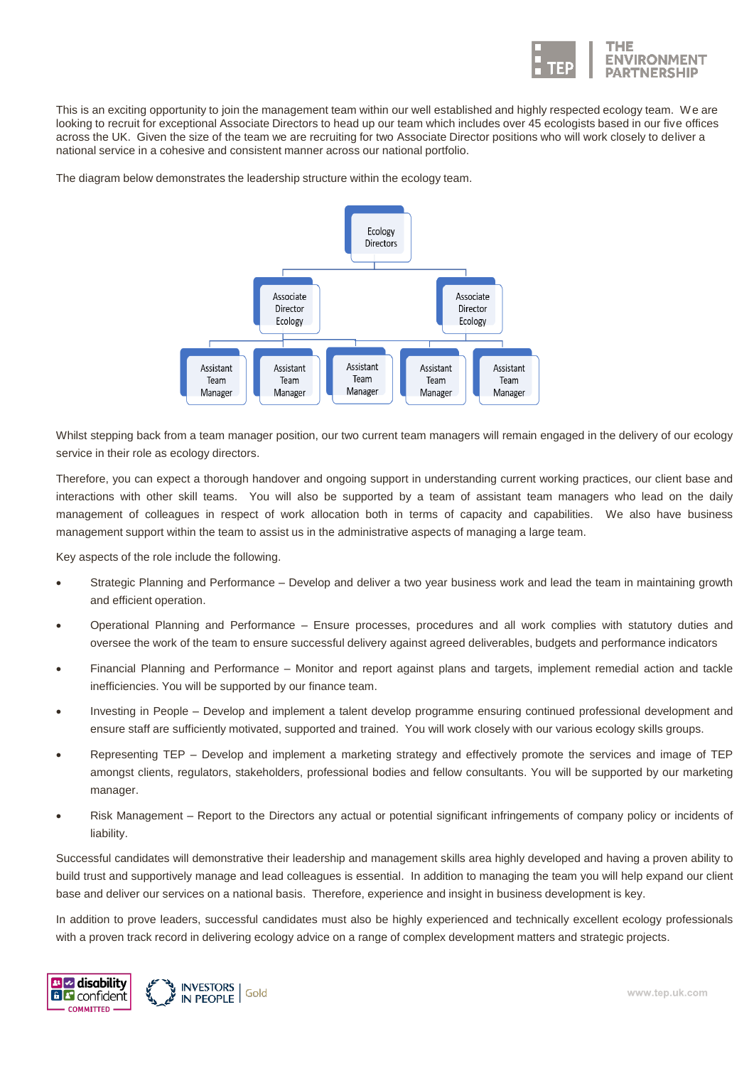

This is an exciting opportunity to join the management team within our well established and highly respected ecology team. We are looking to recruit for exceptional Associate Directors to head up our team which includes over 45 ecologists based in our five offices across the UK. Given the size of the team we are recruiting for two Associate Director positions who will work closely to deliver a national service in a cohesive and consistent manner across our national portfolio.

The diagram below demonstrates the leadership structure within the ecology team.



Whilst stepping back from a team manager position, our two current team managers will remain engaged in the delivery of our ecology service in their role as ecology directors.

Therefore, you can expect a thorough handover and ongoing support in understanding current working practices, our client base and interactions with other skill teams. You will also be supported by a team of assistant team managers who lead on the daily management of colleagues in respect of work allocation both in terms of capacity and capabilities. We also have business management support within the team to assist us in the administrative aspects of managing a large team.

Key aspects of the role include the following.

- Strategic Planning and Performance Develop and deliver a two year business work and lead the team in maintaining growth and efficient operation.
- Operational Planning and Performance Ensure processes, procedures and all work complies with statutory duties and oversee the work of the team to ensure successful delivery against agreed deliverables, budgets and performance indicators
- Financial Planning and Performance Monitor and report against plans and targets, implement remedial action and tackle inefficiencies. You will be supported by our finance team.
- Investing in People Develop and implement a talent develop programme ensuring continued professional development and ensure staff are sufficiently motivated, supported and trained. You will work closely with our various ecology skills groups.
- Representing TEP Develop and implement a marketing strategy and effectively promote the services and image of TEP amongst clients, regulators, stakeholders, professional bodies and fellow consultants. You will be supported by our marketing manager.
- Risk Management Report to the Directors any actual or potential significant infringements of company policy or incidents of liability.

Successful candidates will demonstrative their leadership and management skills area highly developed and having a proven ability to build trust and supportively manage and lead colleagues is essential. In addition to managing the team you will help expand our client base and deliver our services on a national basis. Therefore, experience and insight in business development is key.

In addition to prove leaders, successful candidates must also be highly experienced and technically excellent ecology professionals with a proven track record in delivering ecology advice on a range of complex development matters and strategic projects.